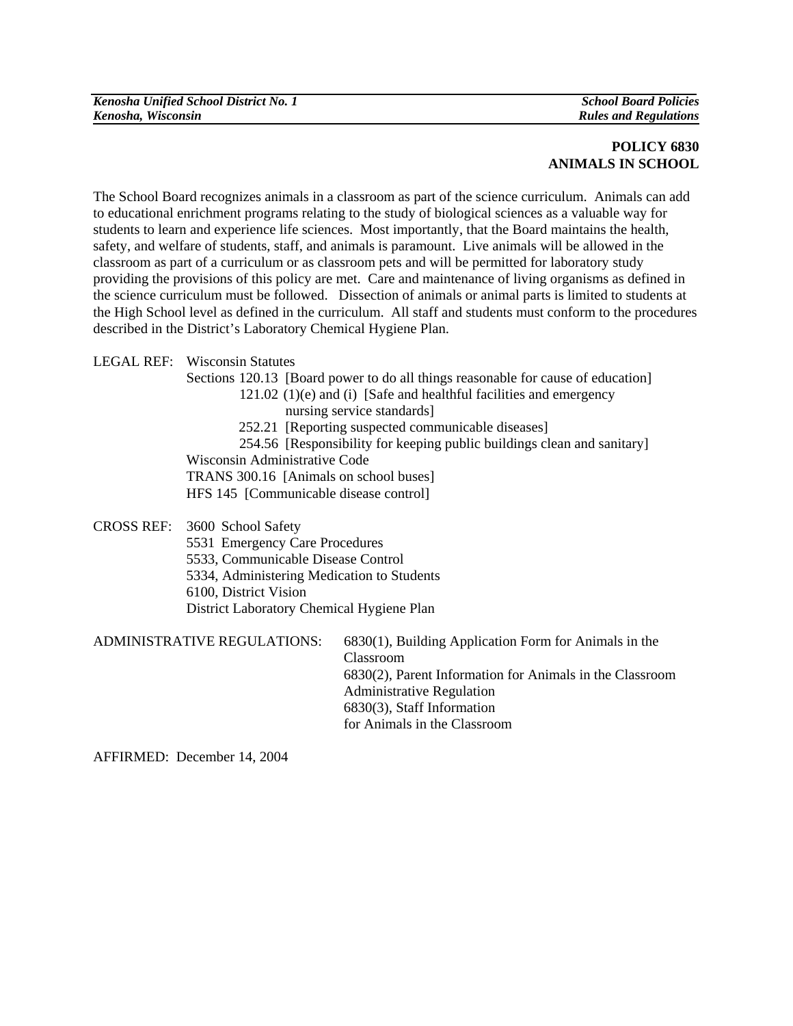## **POLICY 6830 ANIMALS IN SCHOOL**

The School Board recognizes animals in a classroom as part of the science curriculum. Animals can add to educational enrichment programs relating to the study of biological sciences as a valuable way for students to learn and experience life sciences. Most importantly, that the Board maintains the health, safety, and welfare of students, staff, and animals is paramount. Live animals will be allowed in the classroom as part of a curriculum or as classroom pets and will be permitted for laboratory study providing the provisions of this policy are met. Care and maintenance of living organisms as defined in the science curriculum must be followed. Dissection of animals or animal parts is limited to students at the High School level as defined in the curriculum. All staff and students must conform to the procedures described in the District's Laboratory Chemical Hygiene Plan.

LEGAL REF: Wisconsin Statutes

Sections 120.13 [Board power to do all things reasonable for cause of education]

121.02 (1)(e) and (i) [Safe and healthful facilities and emergency nursing service standards]

252.21 [Reporting suspected communicable diseases]

254.56 [Responsibility for keeping public buildings clean and sanitary]

Wisconsin Administrative Code

TRANS 300.16 [Animals on school buses]

HFS 145 [Communicable disease control]

CROSS REF: 3600 School Safety

5531 Emergency Care Procedures

5533, Communicable Disease Control

5334, Administering Medication to Students

6100, District Vision

District Laboratory Chemical Hygiene Plan

ADMINISTRATIVE REGULATIONS: 6830(1), Building Application Form for Animals in the Classroom 6830(2), Parent Information for Animals in the Classroom Administrative Regulation 6830(3), Staff Information for Animals in the Classroom

AFFIRMED: December 14, 2004